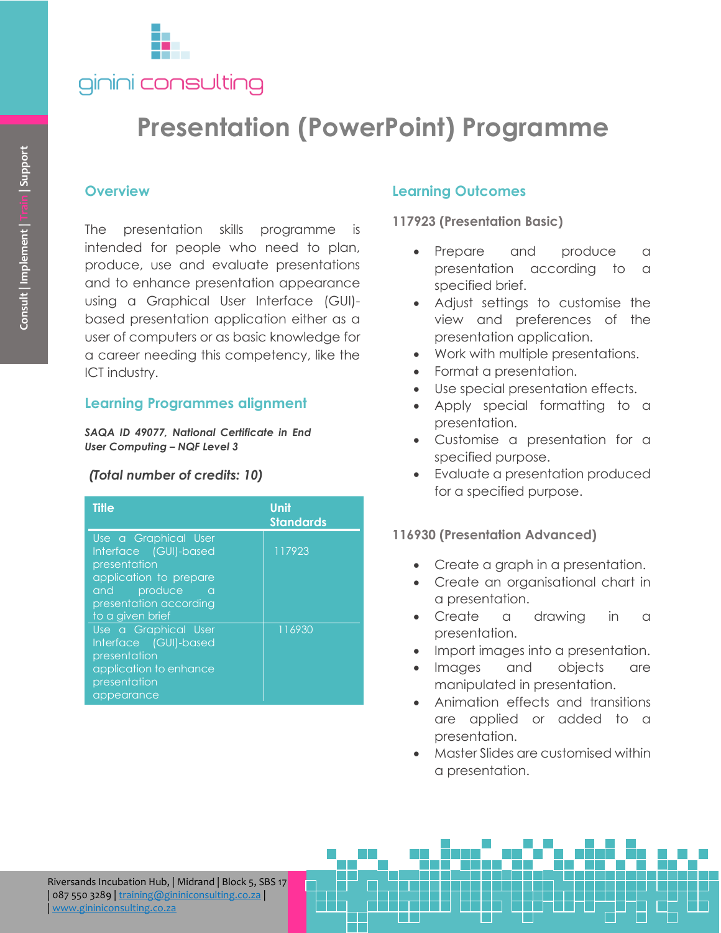

# **Presentation (PowerPoint) Programme**

### **Overview**

## **Learning Programmes alignment**

### *(Total number of credits: 10)*

| Consult   Implement   Train   Support                                                                              | <b>Overview</b><br>presentation skills programme<br><b>The</b><br>intended for people who need to plan,<br>produce, use and evaluate presentations<br>and to enhance presentation appearance<br>using a Graphical User Interface (GUI)-<br>based presentation application either as a<br>user of computers or as basic knowledge for<br>a career needing this competency, like the<br>ICT industry. | <b>is</b> |
|--------------------------------------------------------------------------------------------------------------------|-----------------------------------------------------------------------------------------------------------------------------------------------------------------------------------------------------------------------------------------------------------------------------------------------------------------------------------------------------------------------------------------------------|-----------|
|                                                                                                                    | <b>Learning Programmes alignment</b>                                                                                                                                                                                                                                                                                                                                                                |           |
| SAQA ID 49077, National Certificate in End<br><b>User Computing - NQF Level 3</b><br>(Total number of credits: 10) |                                                                                                                                                                                                                                                                                                                                                                                                     |           |
|                                                                                                                    |                                                                                                                                                                                                                                                                                                                                                                                                     |           |
|                                                                                                                    | Use a Graphical User<br><b>Interface</b><br>(GUI)-based<br>presentation<br>application to prepare<br>produce<br>and a<br><b>a</b><br>presentation according<br>to a given brief                                                                                                                                                                                                                     | 117923    |
|                                                                                                                    |                                                                                                                                                                                                                                                                                                                                                                                                     |           |
|                                                                                                                    | Use a Graphical User<br>Interface (GUI)-based<br>presentation<br>application to enhance<br>presentation<br>appearance                                                                                                                                                                                                                                                                               | 116930    |
|                                                                                                                    |                                                                                                                                                                                                                                                                                                                                                                                                     |           |
|                                                                                                                    |                                                                                                                                                                                                                                                                                                                                                                                                     |           |

# **Learning Outcomes**

**117923 (Presentation Basic)**

- Prepare and produce a presentation according to a specified brief.
- Adjust settings to customise the view and preferences of the presentation application.
- Work with multiple presentations.
- Format a presentation.
- Use special presentation effects.
- Apply special formatting to a presentation.
- Customise a presentation for a specified purpose.
- Evaluate a presentation produced for a specified purpose.

### **116930 (Presentation Advanced)**

- Create a graph in a presentation.
- Create an organisational chart in a presentation.
- Create a drawing in a presentation.
- Import images into a presentation.
- Images and objects are manipulated in presentation.
- Animation effects and transitions are applied or added to a presentation.
- Master Slides are customised within a presentation.